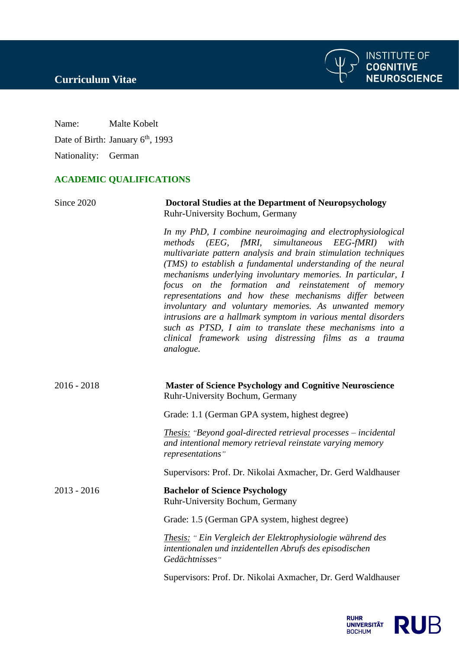**INSTITUTE OF<br>COGNITIVE<br>NEUROSCIENCE** 

Name: Malte Kobelt

Date of Birth: January 6<sup>th</sup>, 1993

Nationality: German

## **ACADEMIC QUALIFICATIONS**

| Since 2020    | <b>Doctoral Studies at the Department of Neuropsychology</b><br>Ruhr-University Bochum, Germany                                                                                                                                                                                                                                                                                                                                                                                                                                                                                                                                                                                                      |
|---------------|------------------------------------------------------------------------------------------------------------------------------------------------------------------------------------------------------------------------------------------------------------------------------------------------------------------------------------------------------------------------------------------------------------------------------------------------------------------------------------------------------------------------------------------------------------------------------------------------------------------------------------------------------------------------------------------------------|
|               | In my PhD, I combine neuroimaging and electrophysiological<br>methods (EEG, fMRI,<br>simultaneous EEG-fMRI)<br>with<br>multivariate pattern analysis and brain stimulation techniques<br>(TMS) to establish a fundamental understanding of the neural<br>mechanisms underlying involuntary memories. In particular, I<br>focus on the formation and reinstatement of memory<br>representations and how these mechanisms differ between<br>involuntary and voluntary memories. As unwanted memory<br>intrusions are a hallmark symptom in various mental disorders<br>such as PTSD, I aim to translate these mechanisms into a<br>clinical framework using distressing films as a trauma<br>analogue. |
| $2016 - 2018$ | <b>Master of Science Psychology and Cognitive Neuroscience</b><br>Ruhr-University Bochum, Germany                                                                                                                                                                                                                                                                                                                                                                                                                                                                                                                                                                                                    |
|               | Grade: 1.1 (German GPA system, highest degree)                                                                                                                                                                                                                                                                                                                                                                                                                                                                                                                                                                                                                                                       |
|               | <b>Thesis:</b> "Beyond goal-directed retrieval processes – incidental<br>and intentional memory retrieval reinstate varying memory<br>representations"                                                                                                                                                                                                                                                                                                                                                                                                                                                                                                                                               |
|               | Supervisors: Prof. Dr. Nikolai Axmacher, Dr. Gerd Waldhauser                                                                                                                                                                                                                                                                                                                                                                                                                                                                                                                                                                                                                                         |
| $2013 - 2016$ | <b>Bachelor of Science Psychology</b><br>Ruhr-University Bochum, Germany                                                                                                                                                                                                                                                                                                                                                                                                                                                                                                                                                                                                                             |
|               | Grade: 1.5 (German GPA system, highest degree)                                                                                                                                                                                                                                                                                                                                                                                                                                                                                                                                                                                                                                                       |
|               | Thesis: "Ein Vergleich der Elektrophysiologie während des<br>intentionalen und inzidentellen Abrufs des episodischen<br>Gedächtnisses"                                                                                                                                                                                                                                                                                                                                                                                                                                                                                                                                                               |
|               | Supervisors: Prof. Dr. Nikolai Axmacher, Dr. Gerd Waldhauser                                                                                                                                                                                                                                                                                                                                                                                                                                                                                                                                                                                                                                         |